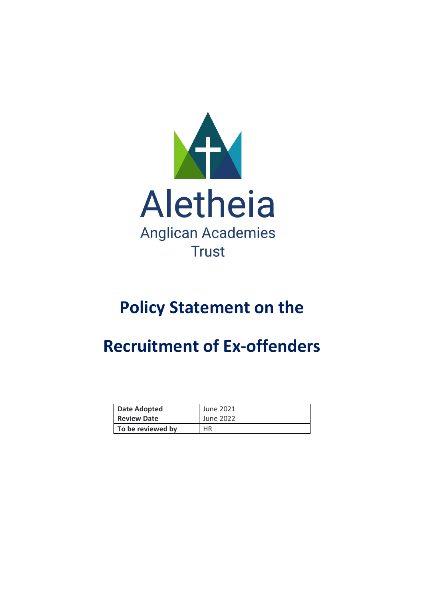

## **Policy Statement on the**

## **Recruitment of Ex-offenders**

| Date Adopted       | June 2021 |
|--------------------|-----------|
| <b>Review Date</b> | June 2022 |
| To be reviewed by  | ΗR        |